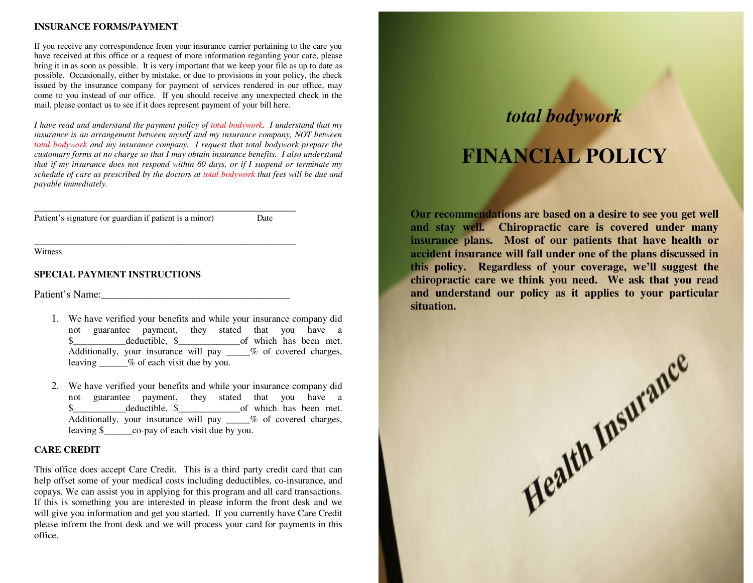### **INSURANCE FORMS/PAYMENT**

If you receive any correspondence from your insurance carrier pertaining to the care you have received at this office or a request of more information regarding your care, please bring it in as soon as possible. It is very important that we keep your file as up to date as possible. Occasionally, either by mistake, or due to provisions in your policy, the check issued by the insurance company for payment of services rendered in our office, may come to you instead of our office. If you should receive any unexpected check in the mail, please contact us to see if it does represent payment of your bill here.

*I have read and understand the payment policy of total bodywork. I understand that my insurance is an arrangement between myself and my insurance company, NOT between total bodywork and my insurance company. I request that total bodywork prepare the customary forms at no charge so that I may obtain insurance benefits. I also understand that if my insurance does not respond within 60 days, or if I suspend or terminate my schedule of care as prescribed by the doctors at total bodywork that fees will be due and payable immediately.* 

\_\_\_\_\_\_\_\_\_\_\_\_\_\_\_\_\_\_\_\_\_\_\_\_\_\_\_\_\_\_\_\_\_\_\_\_\_\_\_\_\_\_\_\_\_\_\_\_\_\_

**Patient's signature (or guardian if patient is a minor)** Date

Witness

#### **SPECIAL PAYMENT INSTRUCTIONS**

Patient's Name:

- 1. We have verified your benefits and while your insurance company did not guarantee payment, they stated that you have a \$ Additionally, your insurance will pay \_\_\_\_% of covered charges, leaving  $\frac{1}{2}$  of each visit due by you.
- 2. We have verified your benefits and while your insurance company did not guarantee payment, they stated that you have a \$ Additionally, your insurance will pay \_\_\_\_% of covered charges, leaving \$\_\_\_\_\_\_co-pay of each visit due by you.

## **CARE CREDIT**

This office does accept Care Credit. This is a third party credit card that can help offset some of your medical costs including deductibles, co-insurance, and copays. We can assist you in applying for this program and all card transactions. If this is something you are interested in please inform the front desk and we will give you information and get you started. If you currently have Care Credit please inform the front desk and we will process your card for payments in this office.

# *total bodywork* **FINANCIAL POLICY**

**Our recommendations are based on a desire to see you get well and stay well. Chiropractic care is covered under many insurance plans. Most of our patients that have health or accident insurance will fall under one of the plans discussed in this policy. Regardless of your coverage, we'll suggest the chiropractic care we think you need. We ask that you read and understand our policy as it applies to your particular situation.** 

Health Insurance